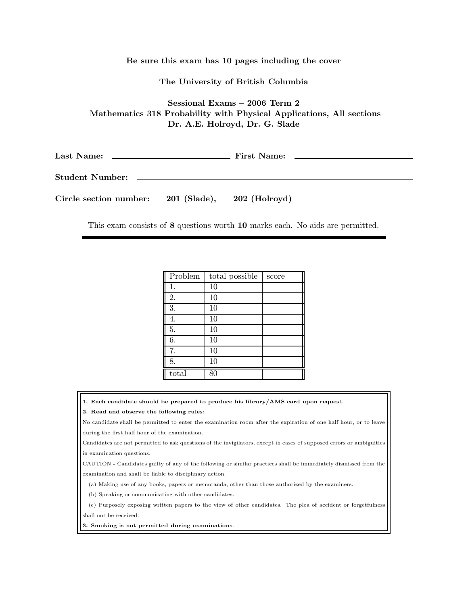Be sure this exam has 10 pages including the cover

The University of British Columbia

Sessional Exams – 2006 Term 2 Mathematics 318 Probability with Physical Applications, All sections Dr. A.E. Holroyd, Dr. G. Slade

Last Name: First Name:

Student Number:

Circle section number: 201 (Slade), 202 (Holroyd)

This exam consists of 8 questions worth 10 marks each. No aids are permitted.

| Problem | total possible | score |
|---------|----------------|-------|
| 1.      | 10             |       |
| 2.      | 10             |       |
| 3.      | 10             |       |
| 4.      | 10             |       |
| 5.      | 10             |       |
| 6.      | 10             |       |
| 7.      | 10             |       |
| 8.      | 10             |       |
| total   | 80             |       |

1. Each candidate should be prepared to produce his library/AMS card upon request.

2. Read and observe the following rules:

No candidate shall be permitted to enter the examination room after the expiration of one half hour, or to leave during the first half hour of the examination.

Candidates are not permitted to ask questions of the invigilators, except in cases of supposed errors or ambiguities in examination questions.

CAUTION - Candidates guilty of any of the following or similar practices shall be immediately dismissed from the examination and shall be liable to disciplinary action.

(a) Making use of any books, papers or memoranda, other than those authorized by the examiners.

(b) Speaking or communicating with other candidates.

(c) Purposely exposing written papers to the view of other candidates. The plea of accident or forgetfulness

shall not be received.

3. Smoking is not permitted during examinations.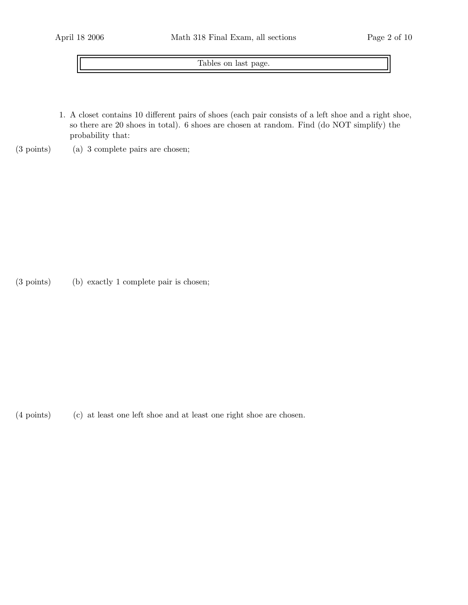Tables on last page.

- 1. A closet contains 10 different pairs of shoes (each pair consists of a left shoe and a right shoe, so there are 20 shoes in total). 6 shoes are chosen at random. Find (do NOT simplify) the probability that:
- (3 points) (a) 3 complete pairs are chosen;

(3 points) (b) exactly 1 complete pair is chosen;

(4 points) (c) at least one left shoe and at least one right shoe are chosen.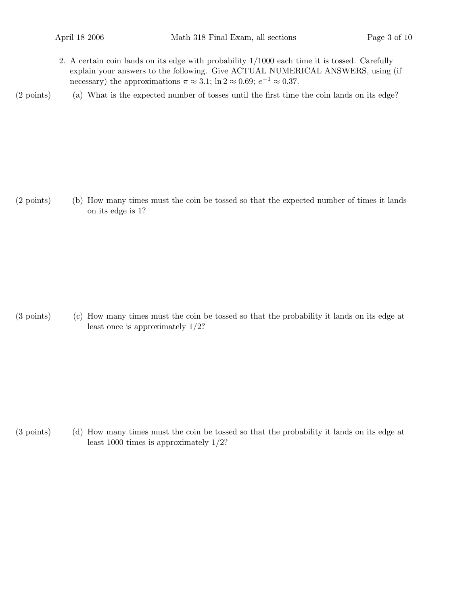2. A certain coin lands on its edge with probability 1/1000 each time it is tossed. Carefully explain your answers to the following. Give ACTUAL NUMERICAL ANSWERS, using (if necessary) the approximations  $\pi \approx 3.1$ ; ln  $2 \approx 0.69$ ;  $e^{-1} \approx 0.37$ .

(2 points) (a) What is the expected number of tosses until the first time the coin lands on its edge?

(2 points) (b) How many times must the coin be tossed so that the expected number of times it lands on its edge is 1?

(3 points) (c) How many times must the coin be tossed so that the probability it lands on its edge at least once is approximately 1/2?

(3 points) (d) How many times must the coin be tossed so that the probability it lands on its edge at least 1000 times is approximately 1/2?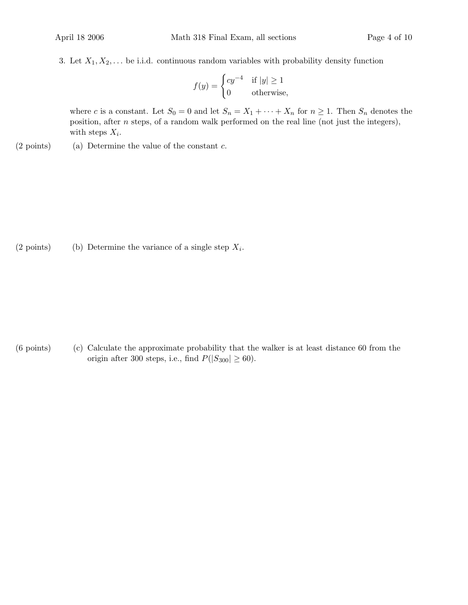3. Let  $X_1, X_2, \ldots$  be i.i.d. continuous random variables with probability density function

$$
f(y) = \begin{cases} cy^{-4} & \text{if } |y| \ge 1\\ 0 & \text{otherwise,} \end{cases}
$$

where c is a constant. Let  $S_0 = 0$  and let  $S_n = X_1 + \cdots + X_n$  for  $n \ge 1$ . Then  $S_n$  denotes the position, after n steps, of a random walk performed on the real line (not just the integers), with steps  $X_i$ .

 $(2 \text{ points})$  (a) Determine the value of the constant c.

(2 points) (b) Determine the variance of a single step  $X_i$ .

(6 points) (c) Calculate the approximate probability that the walker is at least distance 60 from the origin after 300 steps, i.e., find  $P(|S_{300}| \ge 60)$ .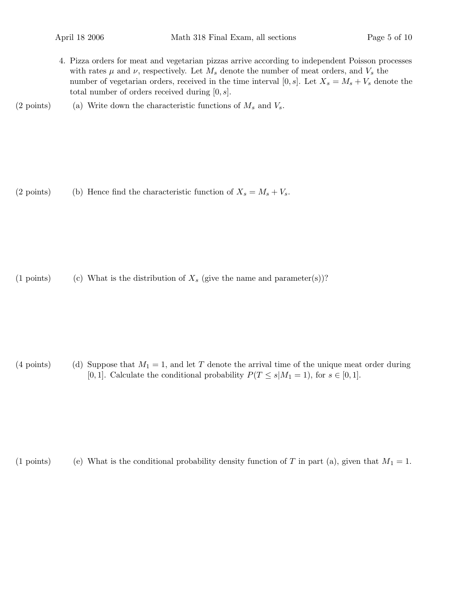- 4. Pizza orders for meat and vegetarian pizzas arrive according to independent Poisson processes with rates  $\mu$  and  $\nu$ , respectively. Let  $M_s$  denote the number of meat orders, and  $V_s$  the number of vegetarian orders, received in the time interval [0, s]. Let  $X_s = M_s + V_s$  denote the total number of orders received during  $[0, s]$ .
- (2 points) (a) Write down the characteristic functions of  $M_s$  and  $V_s$ .

(2 points) (b) Hence find the characteristic function of  $X_s = M_s + V_s$ .

(1 points) (c) What is the distribution of  $X_s$  (give the name and parameter(s))?

(4 points) (d) Suppose that  $M_1 = 1$ , and let T denote the arrival time of the unique meat order during [0, 1]. Calculate the conditional probability  $P(T \le s|M_1 = 1)$ , for  $s \in [0, 1]$ .

(1 points) (e) What is the conditional probability density function of T in part (a), given that  $M_1 = 1$ .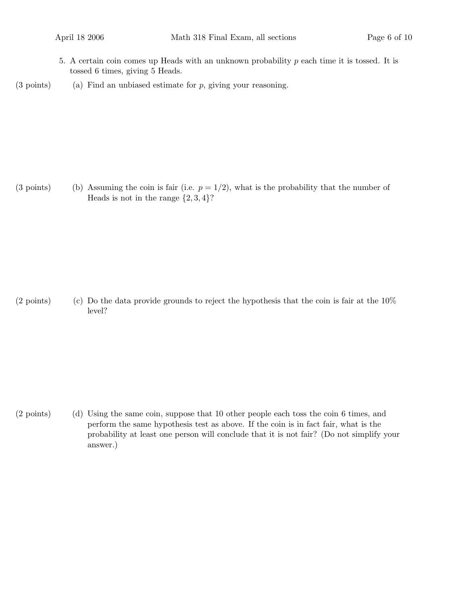- 5. A certain coin comes up Heads with an unknown probability  $p$  each time it is tossed. It is tossed 6 times, giving 5 Heads.
- $(3 \text{ points})$  (a) Find an unbiased estimate for p, giving your reasoning.

(3 points) (b) Assuming the coin is fair (i.e.  $p = 1/2$ ), what is the probability that the number of Heads is not in the range  $\{2, 3, 4\}$ ?

(2 points) (c) Do the data provide grounds to reject the hypothesis that the coin is fair at the  $10\%$ level?

(2 points) (d) Using the same coin, suppose that 10 other people each toss the coin 6 times, and perform the same hypothesis test as above. If the coin is in fact fair, what is the probability at least one person will conclude that it is not fair? (Do not simplify your answer.)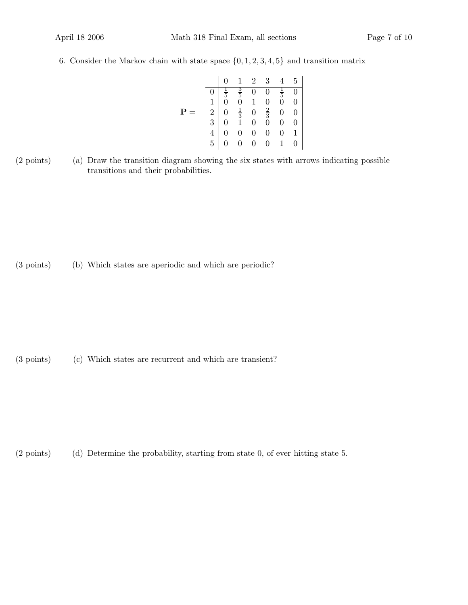6. Consider the Markov chain with state space  $\{0, 1, 2, 3, 4, 5\}$  and transition matrix

|             |  |  | $1 \quad 2 \quad 3$                                                                                                                                                             | $4\quad 5$ |
|-------------|--|--|---------------------------------------------------------------------------------------------------------------------------------------------------------------------------------|------------|
|             |  |  |                                                                                                                                                                                 |            |
|             |  |  |                                                                                                                                                                                 |            |
| $\mathbf P$ |  |  | $\begin{array}{c cccc} 0&\frac{1}{5}&\frac{3}{5}&0&0&\frac{1}{5}&0\ 1&0&0&1&0&0&0\ 2&0&\frac{1}{3}&0&\frac{2}{3}&0&0\ 3&0&1&0&0&0&0\ 4&0&0&0&0&0&1\ 5&0&0&0&0&1&0\ \end{array}$ |            |
|             |  |  |                                                                                                                                                                                 |            |
|             |  |  |                                                                                                                                                                                 |            |
|             |  |  |                                                                                                                                                                                 |            |

(2 points) (a) Draw the transition diagram showing the six states with arrows indicating possible transitions and their probabilities.

(3 points) (b) Which states are aperiodic and which are periodic?

(3 points) (c) Which states are recurrent and which are transient?

(2 points) (d) Determine the probability, starting from state 0, of ever hitting state 5.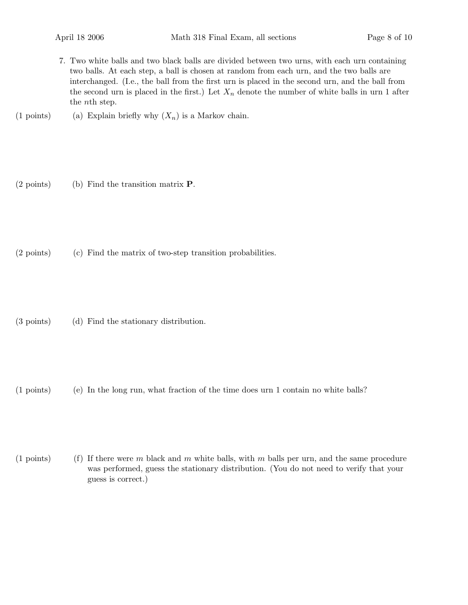- 7. Two white balls and two black balls are divided between two urns, with each urn containing two balls. At each step, a ball is chosen at random from each urn, and the two balls are interchanged. (I.e., the ball from the first urn is placed in the second urn, and the ball from the second urn is placed in the first.) Let  $X_n$  denote the number of white balls in urn 1 after the nth step.
- (1 points) (a) Explain briefly why  $(X_n)$  is a Markov chain.
- (2 points) (b) Find the transition matrix P.
- (2 points) (c) Find the matrix of two-step transition probabilities.
- (3 points) (d) Find the stationary distribution.
- (1 points) (e) In the long run, what fraction of the time does urn 1 contain no white balls?
- (1 points) (f) If there were m black and m white balls, with m balls per urn, and the same procedure was performed, guess the stationary distribution. (You do not need to verify that your guess is correct.)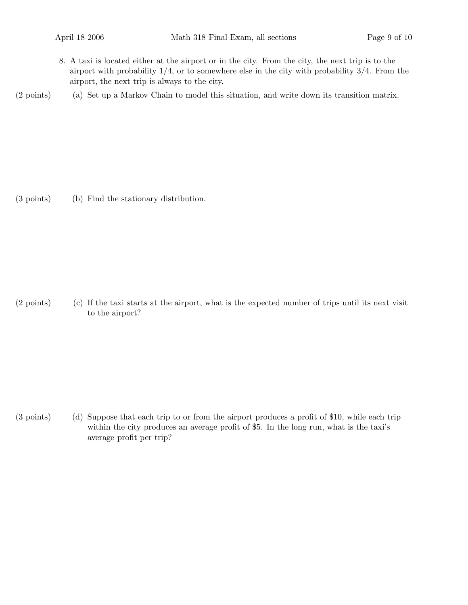8. A taxi is located either at the airport or in the city. From the city, the next trip is to the airport with probability  $1/4$ , or to somewhere else in the city with probability  $3/4$ . From the airport, the next trip is always to the city.

(2 points) (a) Set up a Markov Chain to model this situation, and write down its transition matrix.

(3 points) (b) Find the stationary distribution.

(2 points) (c) If the taxi starts at the airport, what is the expected number of trips until its next visit to the airport?

(3 points) (d) Suppose that each trip to or from the airport produces a profit of \$10, while each trip within the city produces an average profit of \$5. In the long run, what is the taxi's average profit per trip?